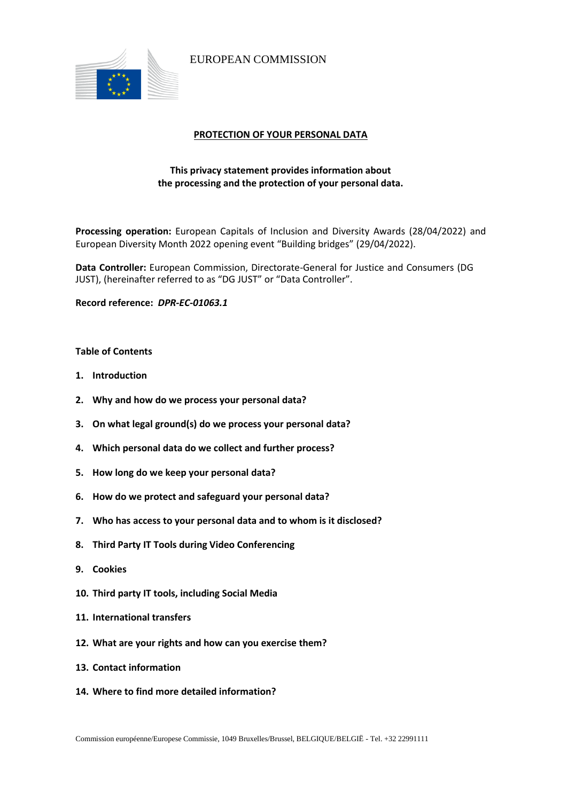

EUROPEAN COMMISSION

# **PROTECTION OF YOUR PERSONAL DATA**

# **This privacy statement provides information about the processing and the protection of your personal data.**

**Processing operation:** European Capitals of Inclusion and Diversity Awards (28/04/2022) and European Diversity Month 2022 opening event "Building bridges" (29/04/2022).

**Data Controller:** European Commission, Directorate-General for Justice and Consumers (DG JUST), (hereinafter referred to as "DG JUST" or "Data Controller".

**Record reference:** *DPR-EC-01063.1*

# **Table of Contents**

- **1. Introduction**
- **2. Why and how do we process your personal data?**
- **3. On what legal ground(s) do we process your personal data?**
- **4. Which personal data do we collect and further process?**
- **5. How long do we keep your personal data?**
- **6. How do we protect and safeguard your personal data?**
- **7. Who has access to your personal data and to whom is it disclosed?**
- **8. Third Party IT Tools during Video Conferencing**
- **9. Cookies**
- **10. Third party IT tools, including Social Media**
- **11. International transfers**
- **12. What are your rights and how can you exercise them?**
- **13. Contact information**
- **14. Where to find more detailed information?**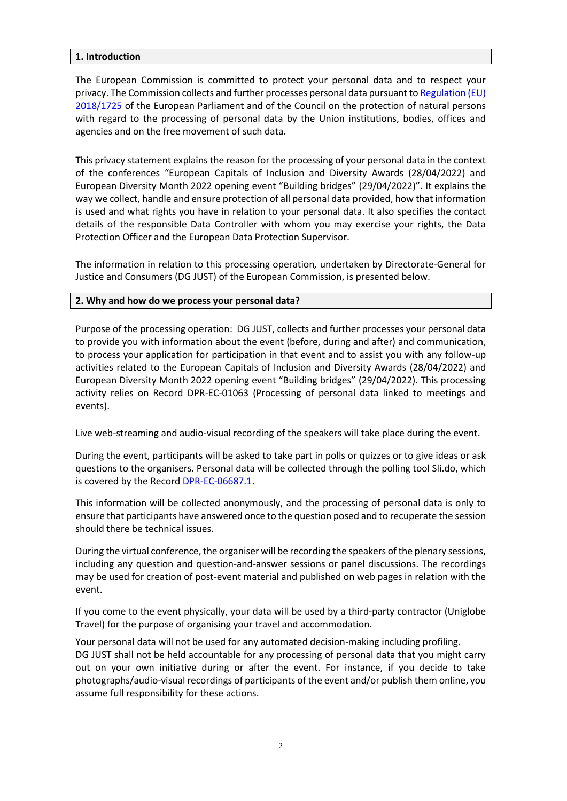# **1. Introduction**

The European Commission is committed to protect your personal data and to respect your privacy. The Commission collects and further processes personal data pursuant t[o Regulation \(EU\)](https://eur-lex.europa.eu/legal-content/EN/TXT/?uri=uriserv:OJ.L_.2018.295.01.0039.01.ENG&toc=OJ:L:2018:295:TOC)  [2018/1725](https://eur-lex.europa.eu/legal-content/EN/TXT/?uri=uriserv:OJ.L_.2018.295.01.0039.01.ENG&toc=OJ:L:2018:295:TOC) of the European Parliament and of the Council on the protection of natural persons with regard to the processing of personal data by the Union institutions, bodies, offices and agencies and on the free movement of such data.

This privacy statement explains the reason for the processing of your personal data in the context of the conferences "European Capitals of Inclusion and Diversity Awards (28/04/2022) and European Diversity Month 2022 opening event "Building bridges" (29/04/2022)". It explains the way we collect, handle and ensure protection of all personal data provided, how that information is used and what rights you have in relation to your personal data. It also specifies the contact details of the responsible Data Controller with whom you may exercise your rights, the Data Protection Officer and the European Data Protection Supervisor.

The information in relation to this processing operation*,* undertaken by Directorate-General for Justice and Consumers (DG JUST) of the European Commission, is presented below.

#### **2. Why and how do we process your personal data?**

Purpose of the processing operation: DG JUST, collects and further processes your personal data to provide you with information about the event (before, during and after) and communication, to process your application for participation in that event and to assist you with any follow-up activities related to the European Capitals of Inclusion and Diversity Awards (28/04/2022) and European Diversity Month 2022 opening event "Building bridges" (29/04/2022). This processing activity relies on Record DPR-EC-01063 (Processing of personal data linked to meetings and events).

Live web-streaming and audio-visual recording of the speakers will take place during the event.

During the event, participants will be asked to take part in polls or quizzes or to give ideas or ask questions to the organisers. Personal data will be collected through the polling tool Sli.do, which is covered by the Record [DPR-EC-06687.1.](https://ec.europa.eu/dpo-register/detail/DPR-EC-06687)

This information will be collected anonymously, and the processing of personal data is only to ensure that participants have answered once to the question posed and to recuperate the session should there be technical issues.

During the virtual conference, the organiser will be recording the speakers of the plenary sessions, including any question and question-and-answer sessions or panel discussions. The recordings may be used for creation of post-event material and published on web pages in relation with the event.

If you come to the event physically, your data will be used by a third-party contractor (Uniglobe Travel) for the purpose of organising your travel and accommodation.

Your personal data will not be used for any automated decision-making including profiling. DG JUST shall not be held accountable for any processing of personal data that you might carry out on your own initiative during or after the event. For instance, if you decide to take photographs/audio-visual recordings of participants of the event and/or publish them online, you assume full responsibility for these actions.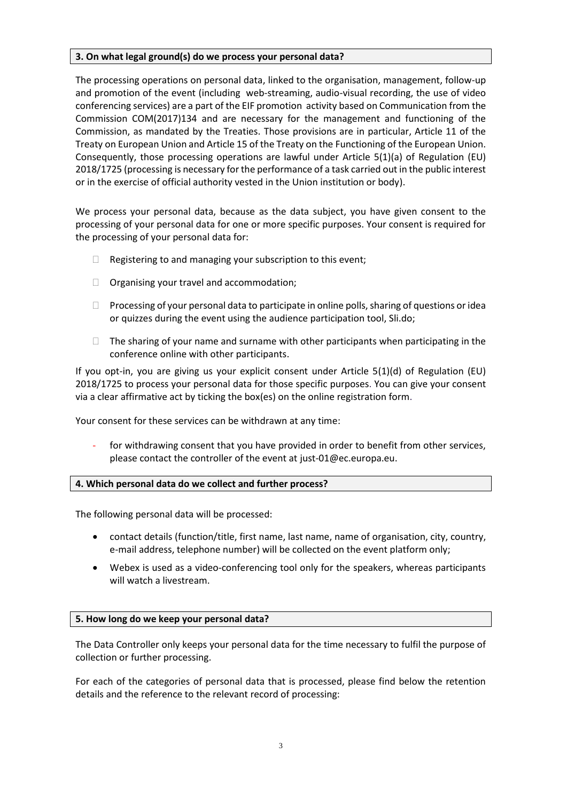# **3. On what legal ground(s) do we process your personal data?**

The processing operations on personal data, linked to the organisation, management, follow-up and promotion of the event (including web-streaming, audio-visual recording, the use of video conferencing services) are a part of the EIF promotion activity based on Communication from the Commission [COM\(2017\)134](http://eur-lex.europa.eu/resource.html?uri=cellar:2c2f2554-0faf-11e7-8a35-01aa75ed71a1.0017.02/DOC_1&format=PDF) and are necessary for the management and functioning of the Commission, as mandated by the Treaties. Those provisions are in particular, Article 11 of the Treaty on European Union and Article 15 of the Treaty on the Functioning of the European Union. Consequently, those processing operations are lawful under Article 5(1)(a) of Regulation (EU) 2018/1725 (processing is necessary for the performance of a task carried out in the public interest or in the exercise of official authority vested in the Union institution or body).

We process your personal data, because as the data subject, you have given consent to the processing of your personal data for one or more specific purposes. Your consent is required for the processing of your personal data for:

- $\Box$  Registering to and managing your subscription to this event;
- $\Box$  Organising your travel and accommodation;
- $\Box$  Processing of your personal data to participate in online polls, sharing of questions or idea or quizzes during the event using the audience participation tool, Sli.do;
- $\Box$  The sharing of your name and surname with other participants when participating in the conference online with other participants.

If you opt-in, you are giving us your explicit consent under Article 5(1)(d) of Regulation (EU) 2018/1725 to process your personal data for those specific purposes. You can give your consent via a clear affirmative act by ticking the box(es) on the online registration form.

Your consent for these services can be withdrawn at any time:

for withdrawing consent that you have provided in order to benefit from other services, please contact the controller of the event at just-01@ec.europa.eu.

# **4. Which personal data do we collect and further process?**

The following personal data will be processed:

- contact details (function/title, first name, last name, name of organisation, city, country, e-mail address, telephone number) will be collected on the event platform only;
- Webex is used as a video-conferencing tool only for the speakers, whereas participants will watch a livestream.

# **5. How long do we keep your personal data?**

The Data Controller only keeps your personal data for the time necessary to fulfil the purpose of collection or further processing.

For each of the categories of personal data that is processed, please find below the retention details and the reference to the relevant record of processing: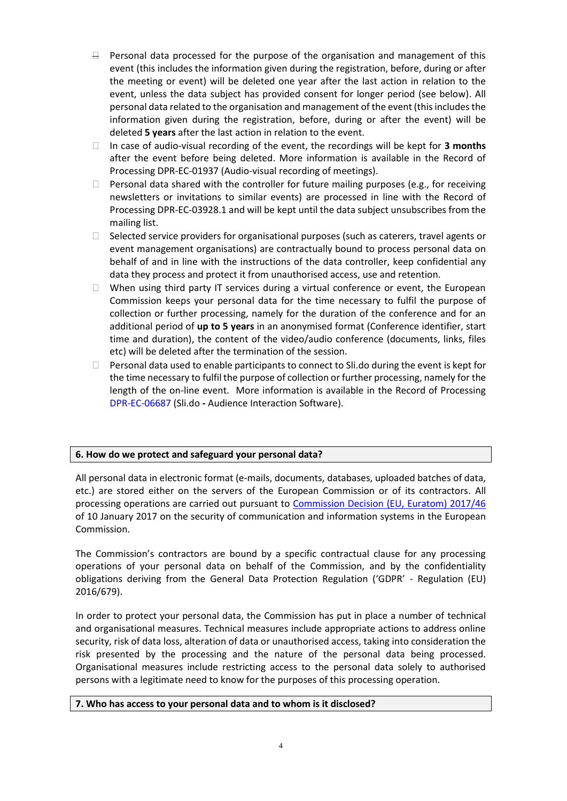- $\exists$  Personal data processed for the purpose of the organisation and management of this event (this includes the information given during the registration, before, during or after the meeting or event) will be deleted one year after the last action in relation to the event, unless the data subject has provided consent for longer period (see below). All personal data related to the organisation and management of the event (this includes the information given during the registration, before, during or after the event) will be deleted **5 years** after the last action in relation to the event.
- In case of audio-visual recording of the event, the recordings will be kept for **3 months** after the event before being deleted. More information is available in the Record of Processing DPR-EC-01937 (Audio-visual recording of meetings).
- $\Box$  Personal data shared with the controller for future mailing purposes (e.g., for receiving newsletters or invitations to similar events) are processed in line with the Record of Processing DPR-EC-03928.1 and will be kept until the data subject unsubscribes from the mailing list.
- □ Selected service providers for organisational purposes (such as caterers, travel agents or event management organisations) are contractually bound to process personal data on behalf of and in line with the instructions of the data controller, keep confidential any data they process and protect it from unauthorised access, use and retention.
- $\Box$  When using third party IT services during a virtual conference or event, the European Commission keeps your personal data for the time necessary to fulfil the purpose of collection or further processing, namely for the duration of the conference and for an additional period of **up to 5 years** in an anonymised format (Conference identifier, start time and duration), the content of the video/audio conference (documents, links, files etc) will be deleted after the termination of the session.
- $\Box$  Personal data used to enable participants to connect to Sli.do during the event is kept for the time necessary to fulfil the purpose of collection or further processing, namely for the length of the on-line event. More information is available in the Record of Processing [DPR-EC-06687](https://ec.europa.eu/dpo-register/detail/DPR-EC-06687) (Sli.do **-** Audience Interaction Software).

# **6. How do we protect and safeguard your personal data?**

All personal data in electronic format (e-mails, documents, databases, uploaded batches of data, etc.) are stored either on the servers of the European Commission or of its contractors. All processing operations are carried out pursuant to [Commission Decision \(EU, Euratom\) 2017/46](https://eur-lex.europa.eu/legal-content/EN/TXT/?qid=1548093747090&uri=CELEX:32017D0046) of 10 January 2017 on the security of communication and information systems in the European Commission.

The Commission's contractors are bound by a specific contractual clause for any processing operations of your personal data on behalf of the Commission, and by the confidentiality obligations deriving from the General Data Protection Regulation ('GDPR' - [Regulation \(EU\)](https://eur-lex.europa.eu/legal-content/EN/TXT/?uri=celex%3A32016R0679)  [2016/679\)](https://eur-lex.europa.eu/legal-content/EN/TXT/?uri=celex%3A32016R0679).

In order to protect your personal data, the Commission has put in place a number of technical and organisational measures. Technical measures include appropriate actions to address online security, risk of data loss, alteration of data or unauthorised access, taking into consideration the risk presented by the processing and the nature of the personal data being processed. Organisational measures include restricting access to the personal data solely to authorised persons with a legitimate need to know for the purposes of this processing operation.

# **7. Who has access to your personal data and to whom is it disclosed?**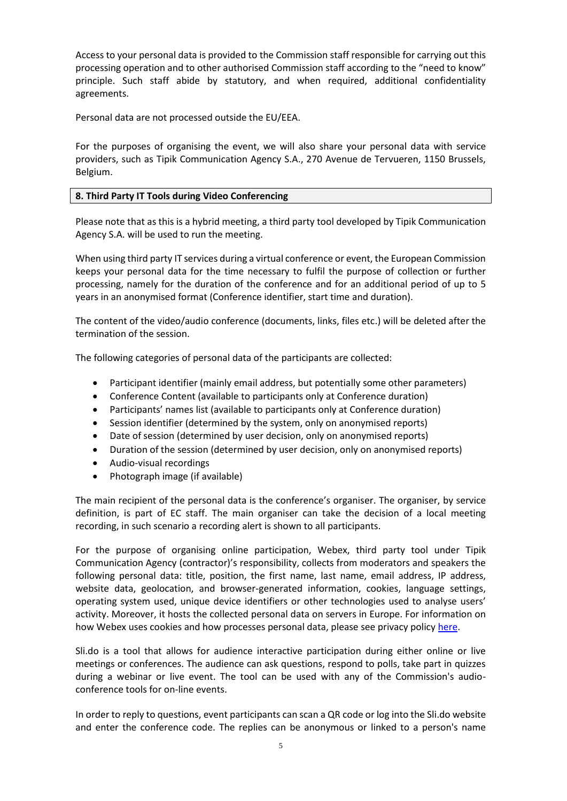Access to your personal data is provided to the Commission staff responsible for carrying out this processing operation and to other authorised Commission staff according to the "need to know" principle. Such staff abide by statutory, and when required, additional confidentiality agreements.

Personal data are not processed outside the EU/EEA.

For the purposes of organising the event, we will also share your personal data with service providers, such as Tipik Communication Agency S.A., 270 Avenue de Tervueren, 1150 Brussels, Belgium.

# **8. Third Party IT Tools during Video Conferencing**

Please note that as this is a hybrid meeting, a third party tool developed by Tipik Communication Agency S.A. will be used to run the meeting.

When using third party IT services during a virtual conference or event, the European Commission keeps your personal data for the time necessary to fulfil the purpose of collection or further processing, namely for the duration of the conference and for an additional period of up to 5 years in an anonymised format (Conference identifier, start time and duration).

The content of the video/audio conference (documents, links, files etc.) will be deleted after the termination of the session.

The following categories of personal data of the participants are collected:

- Participant identifier (mainly email address, but potentially some other parameters)
- Conference Content (available to participants only at Conference duration)
- Participants' names list (available to participants only at Conference duration)
- Session identifier (determined by the system, only on anonymised reports)
- Date of session (determined by user decision, only on anonymised reports)
- Duration of the session (determined by user decision, only on anonymised reports)
- Audio-visual recordings
- Photograph image (if available)

The main recipient of the personal data is the conference's organiser. The organiser, by service definition, is part of EC staff. The main organiser can take the decision of a local meeting recording, in such scenario a recording alert is shown to all participants.

For the purpose of organising online participation, Webex, third party tool under Tipik Communication Agency (contractor)'s responsibility, collects from moderators and speakers the following personal data: title, position, the first name, last name, email address, IP address, website data, geolocation, and browser-generated information, cookies, language settings, operating system used, unique device identifiers or other technologies used to analyse users' activity. Moreover, it hosts the collected personal data on servers in Europe. For information on how Webex uses cookies and how processes personal data, please see privacy policy [here.](https://www.cisco.com/c/en/us/about/legal/privacy-full.html)

Sli.do is a tool that allows for audience interactive participation during either online or live meetings or conferences. The audience can ask questions, respond to polls, take part in quizzes during a webinar or live event. The tool can be used with any of the Commission's audioconference tools for on-line events.

In order to reply to questions, event participants can scan a QR code or log into the Sli.do website and enter the conference code. The replies can be anonymous or linked to a person's name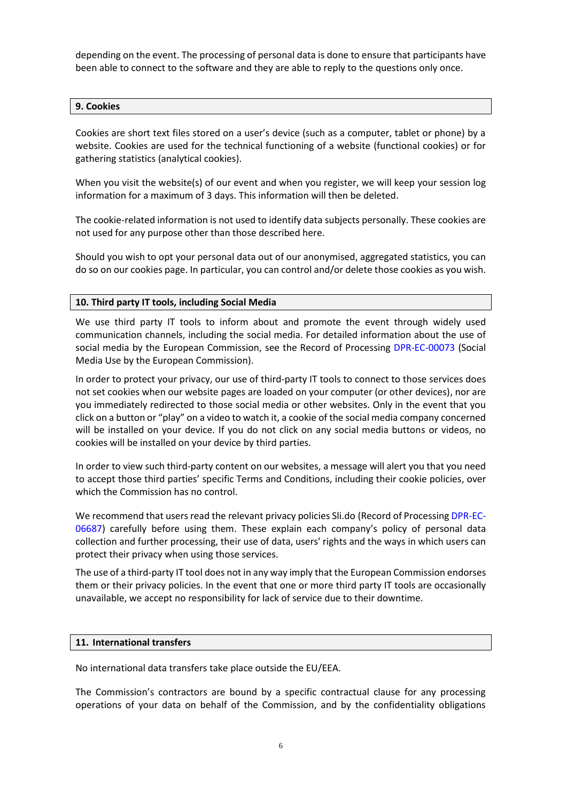depending on the event. The processing of personal data is done to ensure that participants have been able to connect to the software and they are able to reply to the questions only once.

# **9. Cookies**

Cookies are short text files stored on a user's device (such as a computer, tablet or phone) by a website. Cookies are used for the technical functioning of a website (functional cookies) or for gathering statistics (analytical cookies).

When you visit the website(s) of our event and when you register, we will keep your session log information for a maximum of 3 days. This information will then be deleted.

The cookie-related information is not used to identify data subjects personally. These cookies are not used for any purpose other than those described here.

Should you wish to opt your personal data out of our anonymised, aggregated statistics, you can do so on our cookies page. In particular, you can control and/or delete those cookies as you wish.

#### **10. Third party IT tools, including Social Media**

We use third party IT tools to inform about and promote the event through widely used communication channels, including the social media. For detailed information about the use of social media by the European Commission, see the Record of Processing [DPR-EC-00073](https://ec.europa.eu/dpo-register/detail/DPR-EC-00073) (Social Media Use by the European Commission).

In order to protect your privacy, our use of third-party IT tools to connect to those services does not set cookies when our website pages are loaded on your computer (or other devices), nor are you immediately redirected to those social media or other websites. Only in the event that you click on a button or "play" on a video to watch it, a cookie of the social media company concerned will be installed on your device. If you do not click on any social media buttons or videos, no cookies will be installed on your device by third parties.

In order to view such third-party content on our websites, a message will alert you that you need to accept those third parties' specific Terms and Conditions, including their cookie policies, over which the Commission has no control.

We recommend that users read the relevant privacy policies Sli.do (Record of Processing [DPR-EC-](https://ec.europa.eu/dpo-register/detail/DPR-EC-06687)[06687\)](https://ec.europa.eu/dpo-register/detail/DPR-EC-06687) carefully before using them. These explain each company's policy of personal data collection and further processing, their use of data, users' rights and the ways in which users can protect their privacy when using those services.

The use of a third-party IT tool does not in any way imply that the European Commission endorses them or their privacy policies. In the event that one or more third party IT tools are occasionally unavailable, we accept no responsibility for lack of service due to their downtime.

#### **11. International transfers**

No international data transfers take place outside the EU/EEA.

The Commission's contractors are bound by a specific contractual clause for any processing operations of your data on behalf of the Commission, and by the confidentiality obligations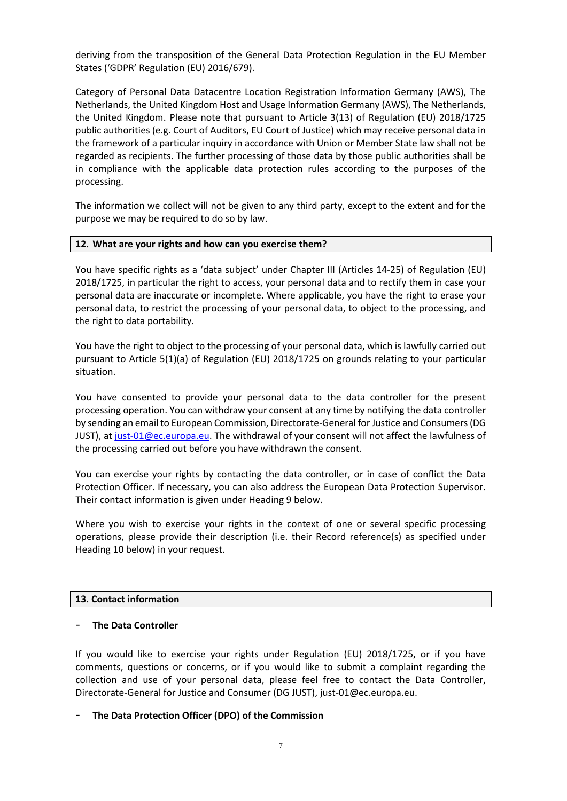deriving from the transposition of the General Data Protection Regulation in the EU Member States ('GDPR' Regulation (EU) 2016/679).

Category of Personal Data Datacentre Location Registration Information Germany (AWS), The Netherlands, the United Kingdom Host and Usage Information Germany (AWS), The Netherlands, the United Kingdom. Please note that pursuant to Article 3(13) of Regulation (EU) 2018/1725 public authorities (e.g. Court of Auditors, EU Court of Justice) which may receive personal data in the framework of a particular inquiry in accordance with Union or Member State law shall not be regarded as recipients. The further processing of those data by those public authorities shall be in compliance with the applicable data protection rules according to the purposes of the processing.

The information we collect will not be given to any third party, except to the extent and for the purpose we may be required to do so by law.

#### **12. What are your rights and how can you exercise them?**

You have specific rights as a 'data subject' under Chapter III (Articles 14-25) of Regulation (EU) 2018/1725, in particular the right to access, your personal data and to rectify them in case your personal data are inaccurate or incomplete. Where applicable, you have the right to erase your personal data, to restrict the processing of your personal data, to object to the processing, and the right to data portability.

You have the right to object to the processing of your personal data, which is lawfully carried out pursuant to Article 5(1)(a) of Regulation (EU) 2018/1725 on grounds relating to your particular situation.

You have consented to provide your personal data to the data controller for the present processing operation. You can withdraw your consent at any time by notifying the data controller by sending an email to European Commission, Directorate-General for Justice and Consumers (DG JUST), at [just-01@ec.europa.eu.](mailto:just-01@ec.europa.eu) The withdrawal of your consent will not affect the lawfulness of the processing carried out before you have withdrawn the consent.

You can exercise your rights by contacting the data controller, or in case of conflict the Data Protection Officer. If necessary, you can also address the European Data Protection Supervisor. Their contact information is given under Heading 9 below.

Where you wish to exercise your rights in the context of one or several specific processing operations, please provide their description (i.e. their Record reference(s) as specified under Heading 10 below) in your request.

# **13. Contact information**

# - **The Data Controller**

If you would like to exercise your rights under Regulation (EU) 2018/1725, or if you have comments, questions or concerns, or if you would like to submit a complaint regarding the collection and use of your personal data, please feel free to contact the Data Controller, Directorate-General for Justice and Consumer (DG JUST), just-01@ec.europa.eu.

# - **The Data Protection Officer (DPO) of the Commission**